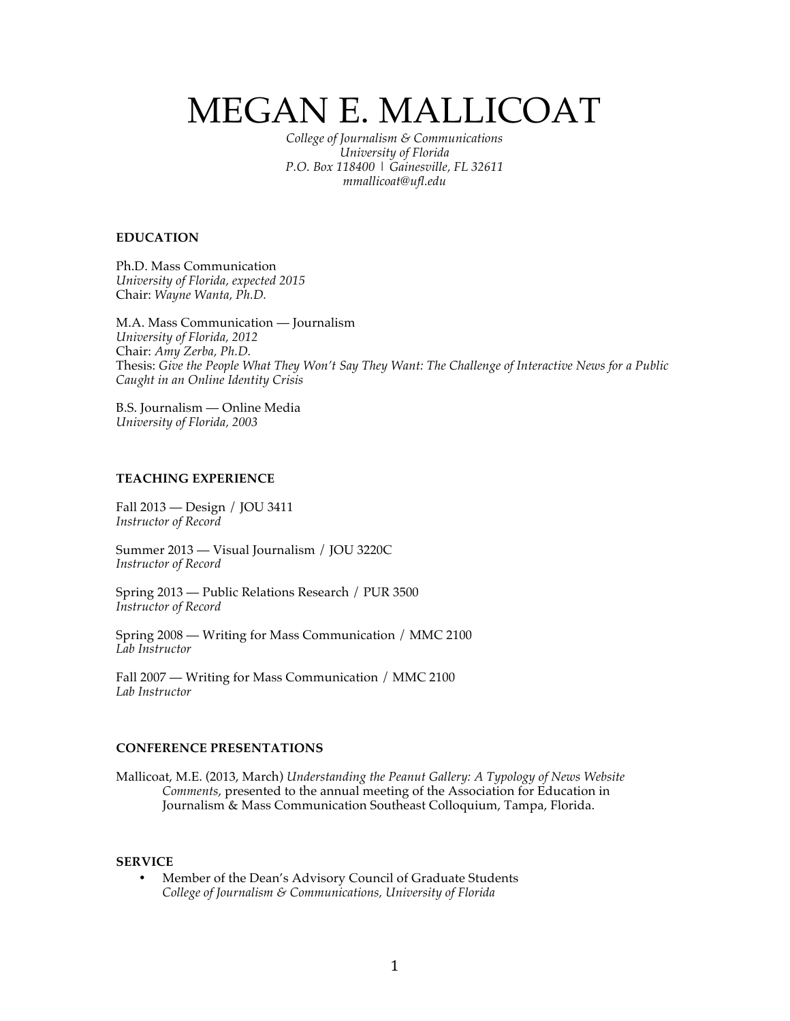# MEGAN E. MALLICOAT

*College of Journalism & Communications University of Florida P.O. Box 118400 | Gainesville, FL 32611 mmallicoat@ufl.edu*

## **EDUCATION**

Ph.D. Mass Communication *University of Florida, expected 2015* Chair: *Wayne Wanta, Ph.D.*

M.A. Mass Communication — Journalism *University of Florida, 2012* Chair: *Amy Zerba, Ph.D.* Thesis: *Give the People What They Won't Say They Want: The Challenge of Interactive News for a Public Caught in an Online Identity Crisis*

B.S. Journalism — Online Media *University of Florida, 2003*

# **TEACHING EXPERIENCE**

Fall 2013 — Design / JOU 3411 *Instructor of Record*

Summer 2013 — Visual Journalism / JOU 3220C *Instructor of Record*

Spring 2013 — Public Relations Research / PUR 3500 *Instructor of Record*

Spring 2008 — Writing for Mass Communication / MMC 2100 *Lab Instructor*

Fall 2007 — Writing for Mass Communication / MMC 2100 *Lab Instructor*

# **CONFERENCE PRESENTATIONS**

Mallicoat, M.E. (2013, March) *Understanding the Peanut Gallery: A Typology of News Website Comments*, presented to the annual meeting of the Association for Education in Journalism & Mass Communication Southeast Colloquium, Tampa, Florida.

## **SERVICE**

• Member of the Dean's Advisory Council of Graduate Students *College of Journalism & Communications, University of Florida*